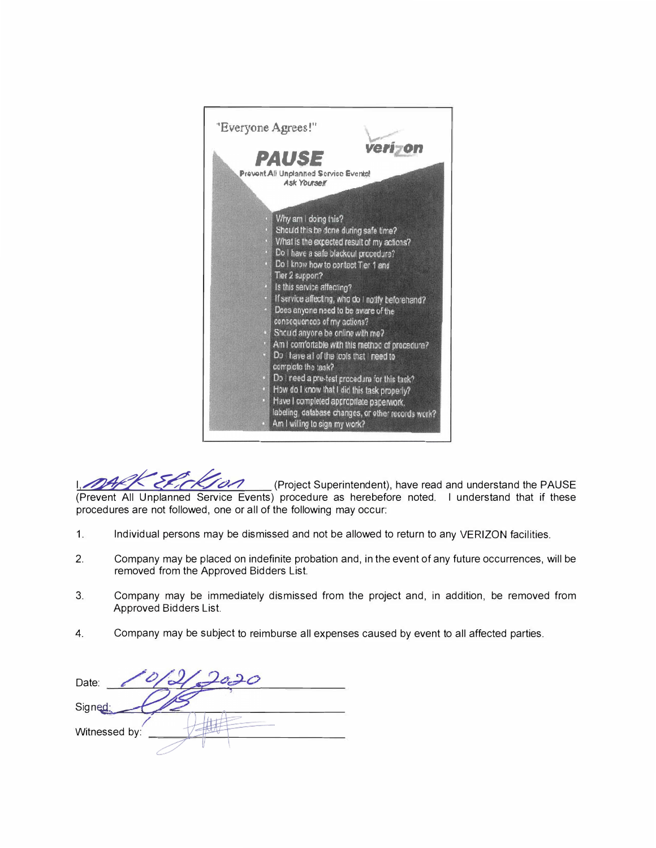

(Project Superintendent), have read and understand the PAUSE (Prevent All Unplanned Service Events) procedure as herebefore noted. I understand that if these procedures are not followed, one or all of the following may occur;

- $1.$ Individual persons may be dismissed and not be allowed to return to any VERIZON facilities.
- $2.$ Company may be placed on indefinite probation and, in the event of any future occurrences, will be removed from the Approved Bidders List.
- Company may be immediately dismissed from the project and, in addition, be removed from 3. Approved Bidders List.
- Company may be subject to reimburse all expenses caused by event to all affected parties. 4.

Date: Signed; Witnessed by: